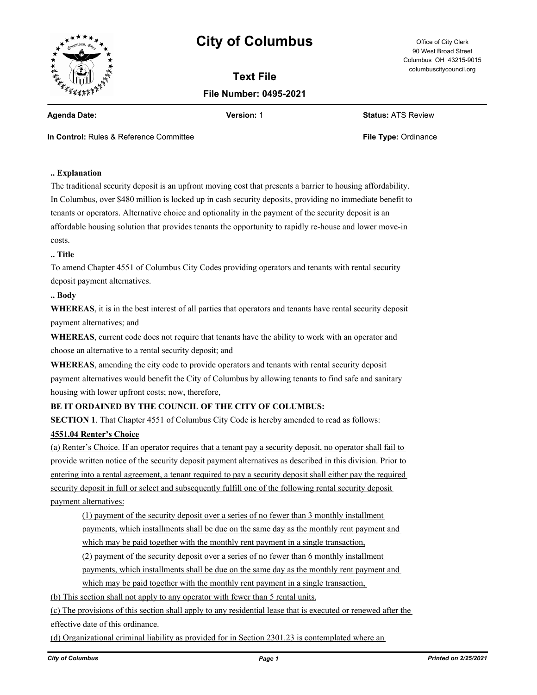

# **City of Columbus** Office of City Clerk

**Text File File Number: 0495-2021**

90 West Broad Street Columbus OH 43215-9015 columbuscitycouncil.org

**Agenda Date: Version:** 1 **Status:** ATS Review

**In Control:** Rules & Reference Committee **File Type:** Ordinance

# **.. Explanation**

The traditional security deposit is an upfront moving cost that presents a barrier to housing affordability. In Columbus, over \$480 million is locked up in cash security deposits, providing no immediate benefit to tenants or operators. Alternative choice and optionality in the payment of the security deposit is an affordable housing solution that provides tenants the opportunity to rapidly re-house and lower move-in costs.

#### **.. Title**

To amend Chapter 4551 of Columbus City Codes providing operators and tenants with rental security deposit payment alternatives.

#### **.. Body**

**WHEREAS**, it is in the best interest of all parties that operators and tenants have rental security deposit payment alternatives; and

**WHEREAS**, current code does not require that tenants have the ability to work with an operator and choose an alternative to a rental security deposit; and

**WHEREAS**, amending the city code to provide operators and tenants with rental security deposit payment alternatives would benefit the City of Columbus by allowing tenants to find safe and sanitary housing with lower upfront costs; now, therefore,

## **BE IT ORDAINED BY THE COUNCIL OF THE CITY OF COLUMBUS:**

**SECTION 1**. That Chapter 4551 of Columbus City Code is hereby amended to read as follows:

### **4551.04 Renter's Choice**

(a) Renter's Choice. If an operator requires that a tenant pay a security deposit, no operator shall fail to provide written notice of the security deposit payment alternatives as described in this division. Prior to entering into a rental agreement, a tenant required to pay a security deposit shall either pay the required security deposit in full or select and subsequently fulfill one of the following rental security deposit payment alternatives:

(1) payment of the security deposit over a series of no fewer than 3 monthly installment payments, which installments shall be due on the same day as the monthly rent payment and

which may be paid together with the monthly rent payment in a single transaction,

(2) payment of the security deposit over a series of no fewer than 6 monthly installment

payments, which installments shall be due on the same day as the monthly rent payment and

which may be paid together with the monthly rent payment in a single transaction,

(b) This section shall not apply to any operator with fewer than 5 rental units.

(c) The provisions of this section shall apply to any residential lease that is executed or renewed after the effective date of this ordinance.

(d) Organizational criminal liability as provided for in Section 2301.23 is contemplated where an